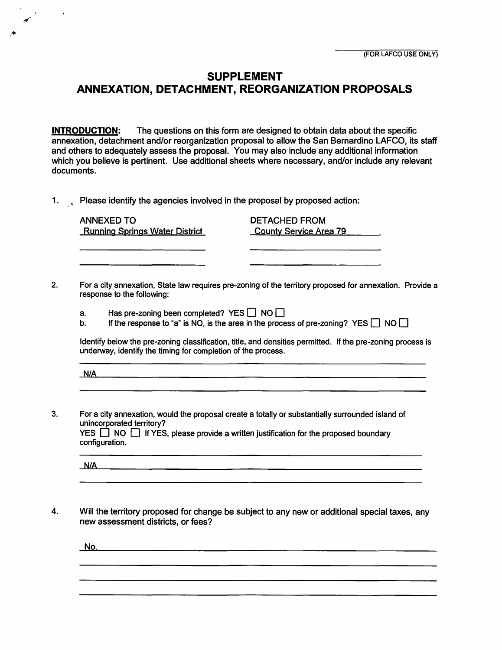## **SUPPLEMENT ANNEXATION, DETACHMENT, REORGANIZATION PROPOSALS**

**INTRODUCTION:** The questions on this form are designed to obtain data about the specific annexation, detachment and/or reorganization proposal to allow the San Bernardino LAFCO, its staff and others to adequately assess the proposal. You may also include any additional information which you believe is pertinent. Use additional sheets where necessary, and/or include any relevant documents.

1. , Please identify the agencies involved in the proposal by proposed action:

ANNEXED TO Running Springs Water District

DETACHED FROM County Service Area 79

2. For a city annexation, State law requires pre-zoning of the territory proposed for annexation. Provide a response to the following:

- a. Has pre-zoning been completed? YES  $\Box$  NO  $\Box$ <br>b. If the response to "a" is NO. is the area in the proce
- If the response to "a" is NO, is the area in the process of pre-zoning? YES  $\Box$  NO  $\Box$

Identify below the pre-zoning classification, title, and densities permitted. If the pre-zoning process is underway, identify the timing for completion of the process.

**N/A** 

3. For a city annexation, would the proposal create a totally or substantially surrounded island of unincorporated territory? YES  $\Box$  NO  $\Box$  If YES, please provide a written justification for the proposed boundary configuration.

 $N/A$ 

4. Will the territory proposed for change be subject to any new or additional special taxes, any new assessment districts, or fees?

<u> 2001 - Johann Johann Stoff, deutscher Stoff, der Stoff, der Stoff, der Stoff, der Stoff, der Stoff, der Stoff</u>

No.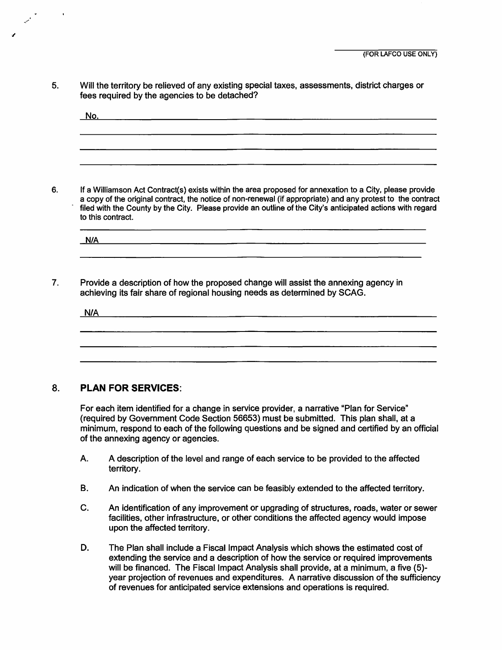5. Will the territory be relieved of any existing special taxes, assessments, district charges or fees required by the agencies to be detached?

| <u>No.</u> | <u> 1980 - Jan James John Stone, mars and de la provincia de la provincia de la provincia de la provincia de la p</u> |  |  |
|------------|-----------------------------------------------------------------------------------------------------------------------|--|--|
|            |                                                                                                                       |  |  |
|            |                                                                                                                       |  |  |
|            |                                                                                                                       |  |  |

6. If a Williamson Act Contract(s} exists within the area proposed for annexation to a City, please provide a copy of the original contract, the notice of non-renewal (if appropriate} and any protest to the contract filed with the County by the City. Please provide an outline of the City's anticipated actions with regard to this contract.

**N/A** 

7. Provide a description of how the proposed change will assist the annexing agency in achieving its fair share of regional housing needs as determined by SCAG.

<u>N/A 2000 - 2000 - 2000 - 2000 - 2000 - 2000 - 2000 - 2000 - 2000 - 2000 - 2000 - 2000 - 2000 - 2000 - 2000 - 2000 - 2000 - 2000 - 2000 - 2000 - 2000 - 2000 - 2000 - 2000 - 2000 - 2000 - 2000 - 2000 - 2000 - 2000 - 2000 - </u>

## 8. **PLAN FOR SERVICES:**

 $\ddot{\phantom{1}}$ 

For each item identified for a change in service provider, a narrative "Plan for Service" (required by Government Code Section 56653) must be submitted. This plan shall, at a minimum, respond to each of the following questions and be signed and certified by an official of the annexing agency or agencies.

- A. A description of the level and range of each service to be provided to the affected territory.
- B. An indication of when the service can be feasibly extended to the affected territory.
- C. An identification of any improvement or upgrading of structures, roads, water or sewer facilities, other infrastructure, or other conditions the affected agency would impose upon the affected territory.
- D. The Plan shall include a Fiscal Impact Analysis which shows the estimated cost of extending the service and a description of how the service or required improvements will be financed. The Fiscal Impact Analysis shall provide, at a minimum, a five (5) year projection of revenues and expenditures. A narrative discussion of the sufficiency of revenues for anticipated service extensions and operations is required.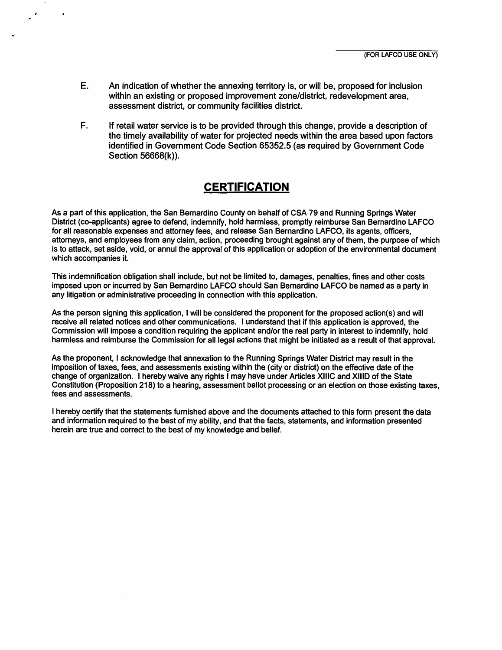E. An indication of whether the annexing territory is, or will be, proposed for inclusion within an existing or proposed improvement zone/district, redevelopment area, assessment district, or community facilities district.

 $\mathcal{L}^{\frac{1}{2}}$ 

 $\cdot$ 

F. If retail water service is to be provided through this change, provide a description of the timely availability of water for projected needs within the area based upon factors identified in Government Code Section 65352.5 (as required by Government Code Section 56668(k) ).

## **CERTIFICATION**

As a part of this application, the San Bernardino County on behalf of CSA 79 and Running Springs Water District (co-applicants) agree to defend, indemnify, hold harmless, promptly reimburse San Bernardino LAFCO for all reasonable expenses and attorney fees, and release San Bernardino LAFCO, its agents, officers, attorneys, and employees from any claim, action, proceeding brought against any of them, the purpose of which is to attack, set aside, void, or annul the approval of this application or adoption of the environmental document which accompanies it.

This indemnification obligation shall include, but not be limited to, damages, penalties, fines and other costs imposed upon or incurred by San Bernardino LAFCO should San Bernardino LAFCO be named as a party in any litigation or administrative proceeding in connection with this application.

As the person signing this application, I will be considered the proponent for the proposed action(s) and will receive all related notices and other communications. I understand that if this application is approved, the Commission will impose a condition requiring the applicant and/or the real party in interest to indemnify, hold harmless and reimburse the Commission for all legal actions that might be initiated as a result of that approval.

As the proponent, I acknowledge that annexation to the Running Springs Water District may result in the imposition of taxes, fees, and assessments existing within the ( city or district) on the effective date of the change of organization. I hereby waive any rights I may have under Articles XIIIC and XIIID of the State Constitution (Proposition 218) to a hearing, assessment ballot processing or an election on those existing taxes, fees and assessments.

I hereby certify that the statements furnished above and the documents attached to this form present the data and information required to the best of my ability, and that the facts, statements, and information presented herein are true and correct to the best of my knowledge and belief.